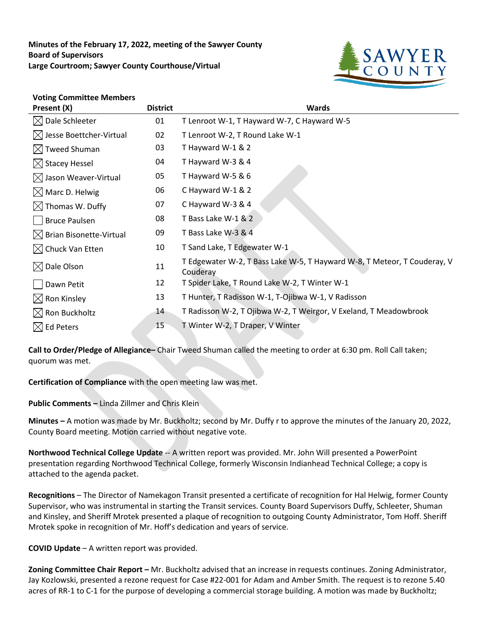**Minutes of the February 17, 2022, meeting of the Sawyer County Board of Supervisors Large Courtroom; Sawyer County Courthouse/Virtual**



## **Voting Committee Members**

| Present (X)                         | <b>District</b> | <b>Wards</b>                                                                         |
|-------------------------------------|-----------------|--------------------------------------------------------------------------------------|
| $\boxtimes$ Dale Schleeter          | 01              | T Lenroot W-1, T Hayward W-7, C Hayward W-5                                          |
| $\boxtimes$ Jesse Boettcher-Virtual | 02              | T Lenroot W-2, T Round Lake W-1                                                      |
| $\boxtimes$ Tweed Shuman            | 03              | T Hayward W-1 & 2                                                                    |
| $\boxtimes$ Stacey Hessel           | 04              | T Hayward W-3 & 4                                                                    |
| $\boxtimes$ Jason Weaver-Virtual    | 05              | T Hayward W-5 & 6                                                                    |
| $\boxtimes$ Marc D. Helwig          | 06              | C Hayward W-1 & 2                                                                    |
| $\boxtimes$ Thomas W. Duffy         | 07              | C Hayward W-3 & 4                                                                    |
| <b>Bruce Paulsen</b>                | 08              | T Bass Lake W-1 & 2                                                                  |
| $\boxtimes$ Brian Bisonette-Virtual | 09              | T Bass Lake W-3 & 4                                                                  |
| $\boxtimes$ Chuck Van Etten         | 10              | T Sand Lake, T Edgewater W-1                                                         |
| $\boxtimes$ Dale Olson              | 11              | T Edgewater W-2, T Bass Lake W-5, T Hayward W-8, T Meteor, T Couderay, V<br>Couderay |
| Dawn Petit                          | 12              | T Spider Lake, T Round Lake W-2, T Winter W-1                                        |
| $\boxtimes$ Ron Kinsley             | 13              | T Hunter, T Radisson W-1, T-Ojibwa W-1, V Radisson                                   |
| $\boxtimes$ Ron Buckholtz           | 14              | T Radisson W-2, T Ojibwa W-2, T Weirgor, V Exeland, T Meadowbrook                    |
| $\boxtimes$ Ed Peters               | 15              | T Winter W-2, T Draper, V Winter                                                     |

**Call to Order/Pledge of Allegiance–** Chair Tweed Shuman called the meeting to order at 6:30 pm. Roll Call taken; quorum was met.

**Certification of Compliance** with the open meeting law was met.

**Public Comments –** Linda Zillmer and Chris Klein

**Minutes –** A motion was made by Mr. Buckholtz; second by Mr. Duffy r to approve the minutes of the January 20, 2022, County Board meeting. Motion carried without negative vote.

**Northwood Technical College Update** -- A written report was provided. Mr. John Will presented a PowerPoint presentation regarding Northwood Technical College, formerly Wisconsin Indianhead Technical College; a copy is attached to the agenda packet.

**Recognitions** – The Director of Namekagon Transit presented a certificate of recognition for Hal Helwig, former County Supervisor, who was instrumental in starting the Transit services. County Board Supervisors Duffy, Schleeter, Shuman and Kinsley, and Sheriff Mrotek presented a plaque of recognition to outgoing County Administrator, Tom Hoff. Sheriff Mrotek spoke in recognition of Mr. Hoff's dedication and years of service.

**COVID Update** – A written report was provided.

**Zoning Committee Chair Report –** Mr. Buckholtz advised that an increase in requests continues. Zoning Administrator, Jay Kozlowski, presented a rezone request for Case #22-001 for Adam and Amber Smith. The request is to rezone 5.40 acres of RR-1 to C-1 for the purpose of developing a commercial storage building. A motion was made by Buckholtz;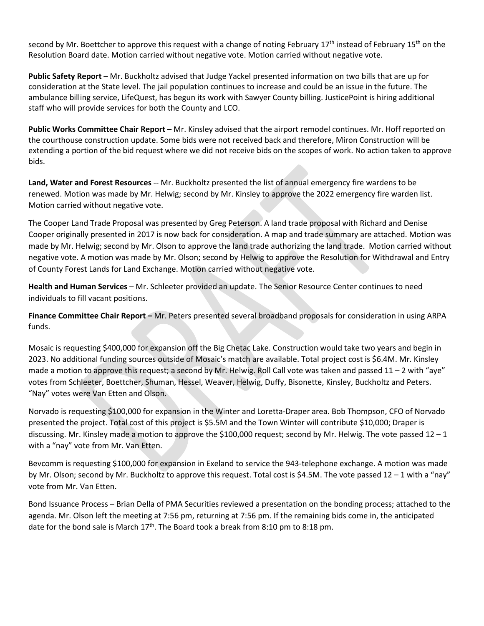second by Mr. Boettcher to approve this request with a change of noting February 17<sup>th</sup> instead of February 15<sup>th</sup> on the Resolution Board date. Motion carried without negative vote. Motion carried without negative vote.

**Public Safety Report** – Mr. Buckholtz advised that Judge Yackel presented information on two bills that are up for consideration at the State level. The jail population continues to increase and could be an issue in the future. The ambulance billing service, LifeQuest, has begun its work with Sawyer County billing. JusticePoint is hiring additional staff who will provide services for both the County and LCO.

**Public Works Committee Chair Report –** Mr. Kinsley advised that the airport remodel continues. Mr. Hoff reported on the courthouse construction update. Some bids were not received back and therefore, Miron Construction will be extending a portion of the bid request where we did not receive bids on the scopes of work. No action taken to approve bids.

**Land, Water and Forest Resources** -- Mr. Buckholtz presented the list of annual emergency fire wardens to be renewed. Motion was made by Mr. Helwig; second by Mr. Kinsley to approve the 2022 emergency fire warden list. Motion carried without negative vote.

The Cooper Land Trade Proposal was presented by Greg Peterson. A land trade proposal with Richard and Denise Cooper originally presented in 2017 is now back for consideration. A map and trade summary are attached. Motion was made by Mr. Helwig; second by Mr. Olson to approve the land trade authorizing the land trade. Motion carried without negative vote. A motion was made by Mr. Olson; second by Helwig to approve the Resolution for Withdrawal and Entry of County Forest Lands for Land Exchange. Motion carried without negative vote.

**Health and Human Services** – Mr. Schleeter provided an update. The Senior Resource Center continues to need individuals to fill vacant positions.

**Finance Committee Chair Report –** Mr. Peters presented several broadband proposals for consideration in using ARPA funds.

Mosaic is requesting \$400,000 for expansion off the Big Chetac Lake. Construction would take two years and begin in 2023. No additional funding sources outside of Mosaic's match are available. Total project cost is \$6.4M. Mr. Kinsley made a motion to approve this request; a second by Mr. Helwig. Roll Call vote was taken and passed  $11 - 2$  with "aye" votes from Schleeter, Boettcher, Shuman, Hessel, Weaver, Helwig, Duffy, Bisonette, Kinsley, Buckholtz and Peters. "Nay" votes were Van Etten and Olson.

Norvado is requesting \$100,000 for expansion in the Winter and Loretta-Draper area. Bob Thompson, CFO of Norvado presented the project. Total cost of this project is \$5.5M and the Town Winter will contribute \$10,000; Draper is discussing. Mr. Kinsley made a motion to approve the \$100,000 request; second by Mr. Helwig. The vote passed  $12 - 1$ with a "nay" vote from Mr. Van Etten.

Bevcomm is requesting \$100,000 for expansion in Exeland to service the 943-telephone exchange. A motion was made by Mr. Olson; second by Mr. Buckholtz to approve this request. Total cost is \$4.5M. The vote passed  $12 - 1$  with a "nay" vote from Mr. Van Etten.

Bond Issuance Process – Brian Della of PMA Securities reviewed a presentation on the bonding process; attached to the agenda. Mr. Olson left the meeting at 7:56 pm, returning at 7:56 pm. If the remaining bids come in, the anticipated date for the bond sale is March  $17<sup>th</sup>$ . The Board took a break from 8:10 pm to 8:18 pm.